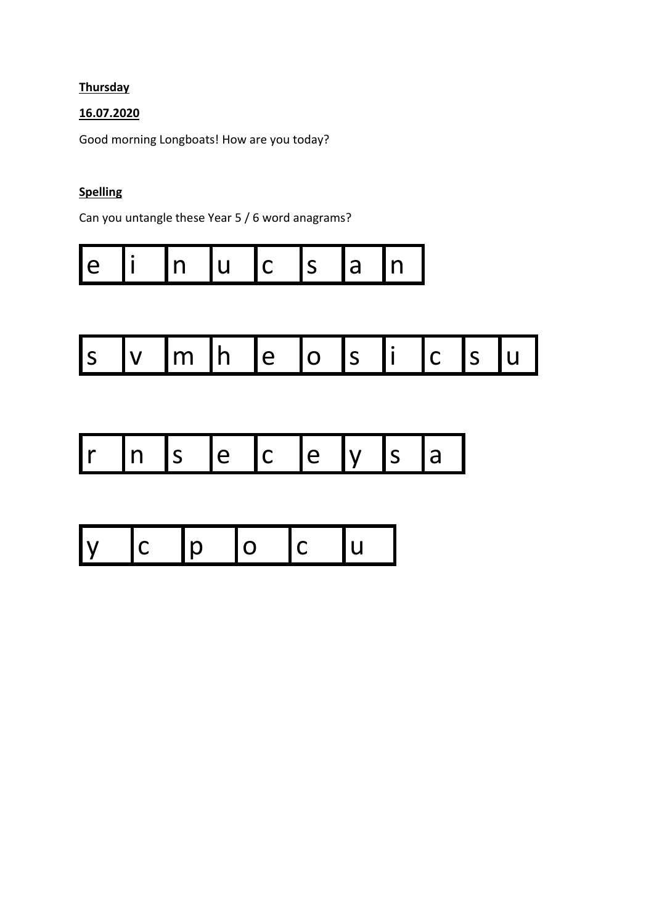## **Thursday**

## 16.07.2020

Good morning Longboats! How are you today?

## **Spelling**

Can you untangle these Year 5 / 6 word anagrams?

| Н<br>l a<br>. . |  |
|-----------------|--|
|-----------------|--|